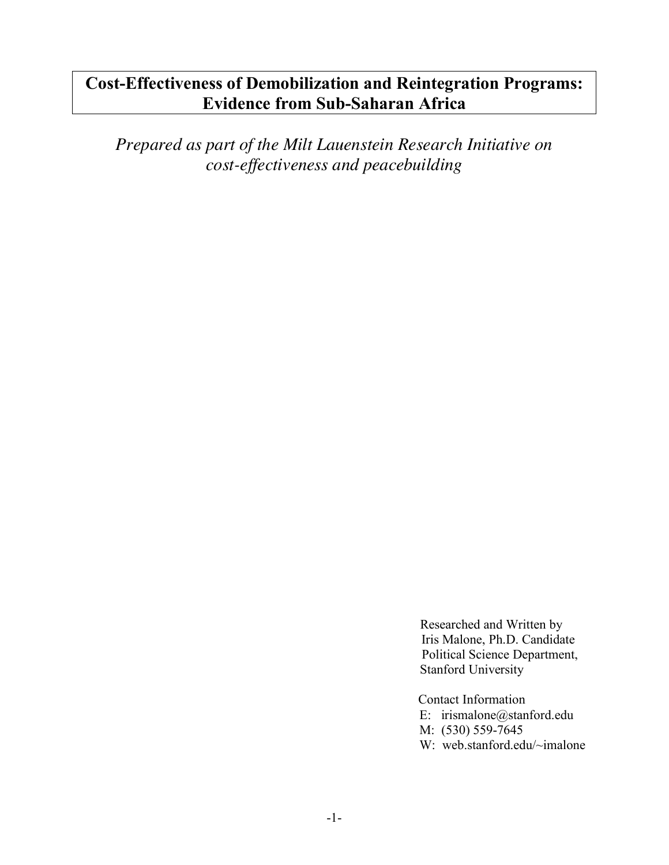# **Cost-Effectiveness of Demobilization and Reintegration Programs: Evidence from Sub-Saharan Africa**

*Prepared as part of the Milt Lauenstein Research Initiative on cost-effectiveness and peacebuilding*

> Researched and Written by Iris Malone, Ph.D. Candidate Political Science Department, Stanford University

Contact Information E: irismalone@stanford.edu M: (530) 559-7645 W: web.stanford.edu/~imalone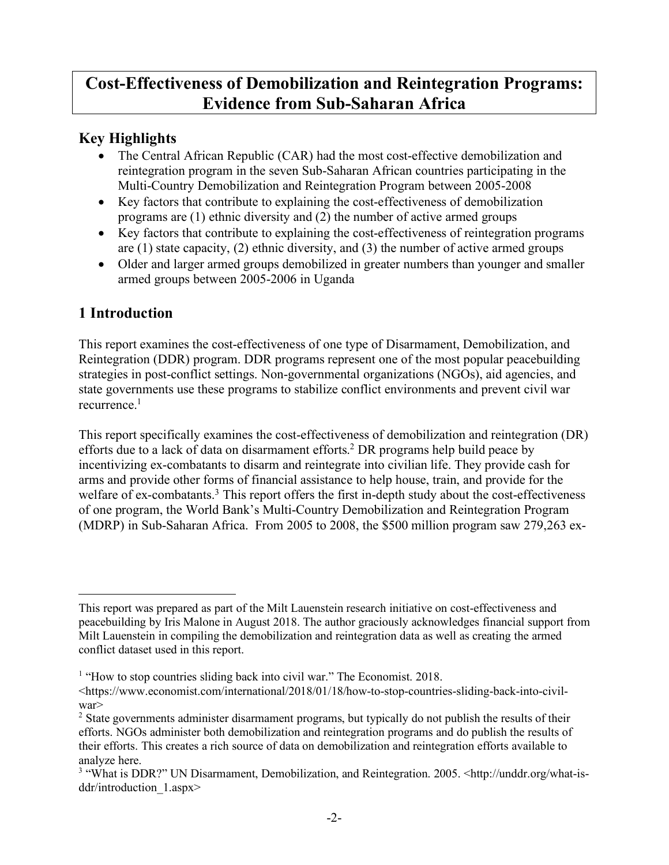## **Cost-Effectiveness of Demobilization and Reintegration Programs: Evidence from Sub-Saharan Africa**

### **Key Highlights**

- The Central African Republic (CAR) had the most cost-effective demobilization and reintegration program in the seven Sub-Saharan African countries participating in the Multi-Country Demobilization and Reintegration Program between 2005-2008
- Key factors that contribute to explaining the cost-effectiveness of demobilization programs are (1) ethnic diversity and (2) the number of active armed groups
- Key factors that contribute to explaining the cost-effectiveness of reintegration programs are (1) state capacity, (2) ethnic diversity, and (3) the number of active armed groups
- Older and larger armed groups demobilized in greater numbers than younger and smaller armed groups between 2005-2006 in Uganda

## **1 Introduction**

 $\overline{a}$ 

This report examines the cost-effectiveness of one type of Disarmament, Demobilization, and Reintegration (DDR) program. DDR programs represent one of the most popular peacebuilding strategies in post-conflict settings. Non-governmental organizations (NGOs), aid agencies, and state governments use these programs to stabilize conflict environments and prevent civil war recurrence<sup>1</sup>

This report specifically examines the cost-effectiveness of demobilization and reintegration (DR) efforts due to a lack of data on disarmament efforts. <sup>2</sup> DR programs help build peace by incentivizing ex-combatants to disarm and reintegrate into civilian life. They provide cash for arms and provide other forms of financial assistance to help house, train, and provide for the welfare of ex-combatants.<sup>3</sup> This report offers the first in-depth study about the cost-effectiveness of one program, the World Bank's Multi-Country Demobilization and Reintegration Program (MDRP) in Sub-Saharan Africa. From 2005 to 2008, the \$500 million program saw 279,263 ex-

This report was prepared as part of the Milt Lauenstein research initiative on cost-effectiveness and peacebuilding by Iris Malone in August 2018. The author graciously acknowledges financial support from Milt Lauenstein in compiling the demobilization and reintegration data as well as creating the armed conflict dataset used in this report.

<sup>&</sup>lt;sup>1</sup> "How to stop countries sliding back into civil war." The Economist. 2018.

<sup>&</sup>lt;https://www.economist.com/international/2018/01/18/how-to-stop-countries-sliding-back-into-civilwar>

<sup>&</sup>lt;sup>2</sup> State governments administer disarmament programs, but typically do not publish the results of their efforts. NGOs administer both demobilization and reintegration programs and do publish the results of their efforts. This creates a rich source of data on demobilization and reintegration efforts available to analyze here.<br><sup>3</sup> "What is DDR?" UN Disarmament, Demobilization, and Reintegration. 2005. <http://unddr.org/what-is-

ddr/introduction 1.aspx>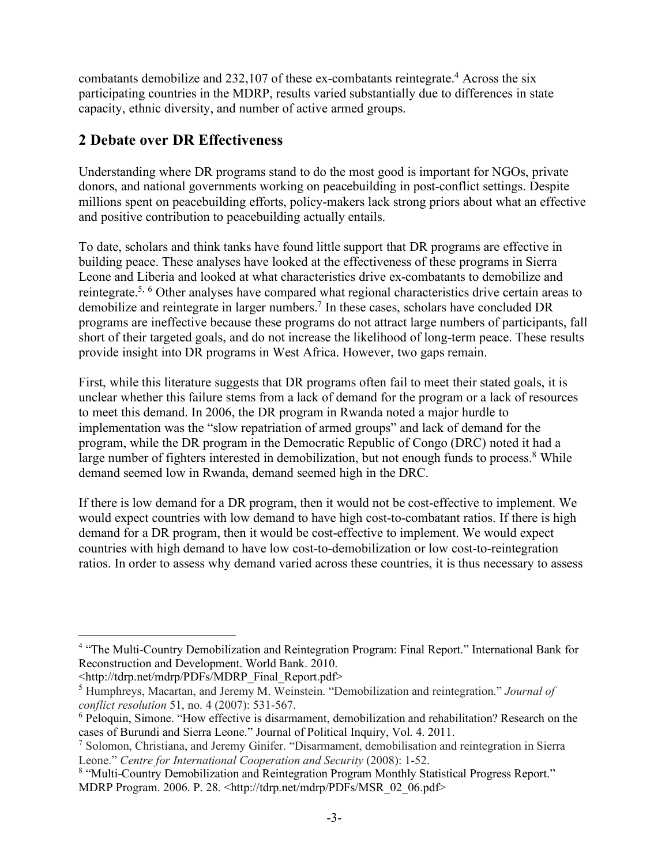combatants demobilize and 232,107 of these ex-combatants reintegrate.<sup>4</sup> Across the six participating countries in the MDRP, results varied substantially due to differences in state capacity, ethnic diversity, and number of active armed groups.

## **2 Debate over DR Effectiveness**

Understanding where DR programs stand to do the most good is important for NGOs, private donors, and national governments working on peacebuilding in post-conflict settings. Despite millions spent on peacebuilding efforts, policy-makers lack strong priors about what an effective and positive contribution to peacebuilding actually entails.

To date, scholars and think tanks have found little support that DR programs are effective in building peace. These analyses have looked at the effectiveness of these programs in Sierra Leone and Liberia and looked at what characteristics drive ex-combatants to demobilize and reintegrate.<sup>5, 6</sup> Other analyses have compared what regional characteristics drive certain areas to demobilize and reintegrate in larger numbers. <sup>7</sup> In these cases, scholars have concluded DR programs are ineffective because these programs do not attract large numbers of participants, fall short of their targeted goals, and do not increase the likelihood of long-term peace. These results provide insight into DR programs in West Africa. However, two gaps remain.

First, while this literature suggests that DR programs often fail to meet their stated goals, it is unclear whether this failure stems from a lack of demand for the program or a lack of resources to meet this demand. In 2006, the DR program in Rwanda noted a major hurdle to implementation was the "slow repatriation of armed groups" and lack of demand for the program, while the DR program in the Democratic Republic of Congo (DRC) noted it had a large number of fighters interested in demobilization, but not enough funds to process.<sup>8</sup> While demand seemed low in Rwanda, demand seemed high in the DRC.

If there is low demand for a DR program, then it would not be cost-effective to implement. We would expect countries with low demand to have high cost-to-combatant ratios. If there is high demand for a DR program, then it would be cost-effective to implement. We would expect countries with high demand to have low cost-to-demobilization or low cost-to-reintegration ratios. In order to assess why demand varied across these countries, it is thus necessary to assess

 $\overline{a}$ 

<sup>&</sup>lt;sup>4</sup> "The Multi-Country Demobilization and Reintegration Program: Final Report." International Bank for Reconstruction and Development. World Bank. 2010.

<sup>&</sup>lt;http://tdrp.net/mdrp/PDFs/MDRP\_Final\_Report.pdf> <sup>5</sup> Humphreys, Macartan, and Jeremy M. Weinstein. "Demobilization and reintegration." *Journal of* 

*conflict resolution* 51, no. 4 (2007): 531-567.

<sup>6</sup> Peloquin, Simone. "How effective is disarmament, demobilization and rehabilitation? Research on the cases of Burundi and Sierra Leone." Journal of Political Inquiry, Vol. 4. 2011.

<sup>7</sup> Solomon, Christiana, and Jeremy Ginifer. "Disarmament, demobilisation and reintegration in Sierra Leone." *Centre for International Cooperation and Security* (2008): 1-52.

<sup>&</sup>lt;sup>8</sup> "Multi-Country Demobilization and Reintegration Program Monthly Statistical Progress Report." MDRP Program. 2006. P. 28. <http://tdrp.net/mdrp/PDFs/MSR\_02\_06.pdf>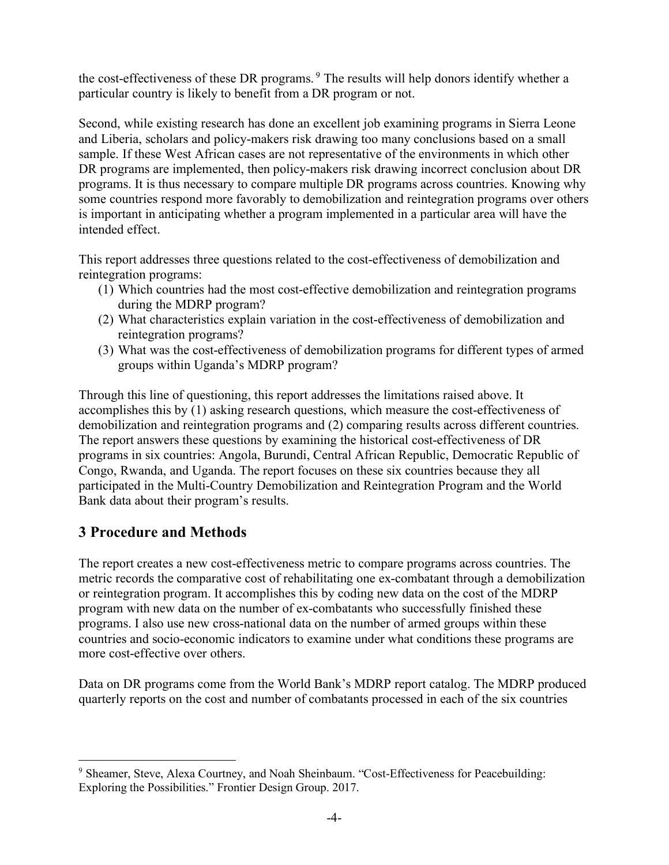the cost-effectiveness of these DR programs.<sup>9</sup> The results will help donors identify whether a particular country is likely to benefit from a DR program or not.

Second, while existing research has done an excellent job examining programs in Sierra Leone and Liberia, scholars and policy-makers risk drawing too many conclusions based on a small sample. If these West African cases are not representative of the environments in which other DR programs are implemented, then policy-makers risk drawing incorrect conclusion about DR programs. It is thus necessary to compare multiple DR programs across countries. Knowing why some countries respond more favorably to demobilization and reintegration programs over others is important in anticipating whether a program implemented in a particular area will have the intended effect.

This report addresses three questions related to the cost-effectiveness of demobilization and reintegration programs:

- (1) Which countries had the most cost-effective demobilization and reintegration programs during the MDRP program?
- (2) What characteristics explain variation in the cost-effectiveness of demobilization and reintegration programs?
- (3) What was the cost-effectiveness of demobilization programs for different types of armed groups within Uganda's MDRP program?

Through this line of questioning, this report addresses the limitations raised above. It accomplishes this by (1) asking research questions, which measure the cost-effectiveness of demobilization and reintegration programs and (2) comparing results across different countries. The report answers these questions by examining the historical cost-effectiveness of DR programs in six countries: Angola, Burundi, Central African Republic, Democratic Republic of Congo, Rwanda, and Uganda. The report focuses on these six countries because they all participated in the Multi-Country Demobilization and Reintegration Program and the World Bank data about their program's results.

### **3 Procedure and Methods**

The report creates a new cost-effectiveness metric to compare programs across countries. The metric records the comparative cost of rehabilitating one ex-combatant through a demobilization or reintegration program. It accomplishes this by coding new data on the cost of the MDRP program with new data on the number of ex-combatants who successfully finished these programs. I also use new cross-national data on the number of armed groups within these countries and socio-economic indicators to examine under what conditions these programs are more cost-effective over others.

Data on DR programs come from the World Bank's MDRP report catalog. The MDRP produced quarterly reports on the cost and number of combatants processed in each of the six countries

 $\overline{a}$ <sup>9</sup> Sheamer, Steve, Alexa Courtney, and Noah Sheinbaum. "Cost-Effectiveness for Peacebuilding: Exploring the Possibilities." Frontier Design Group. 2017.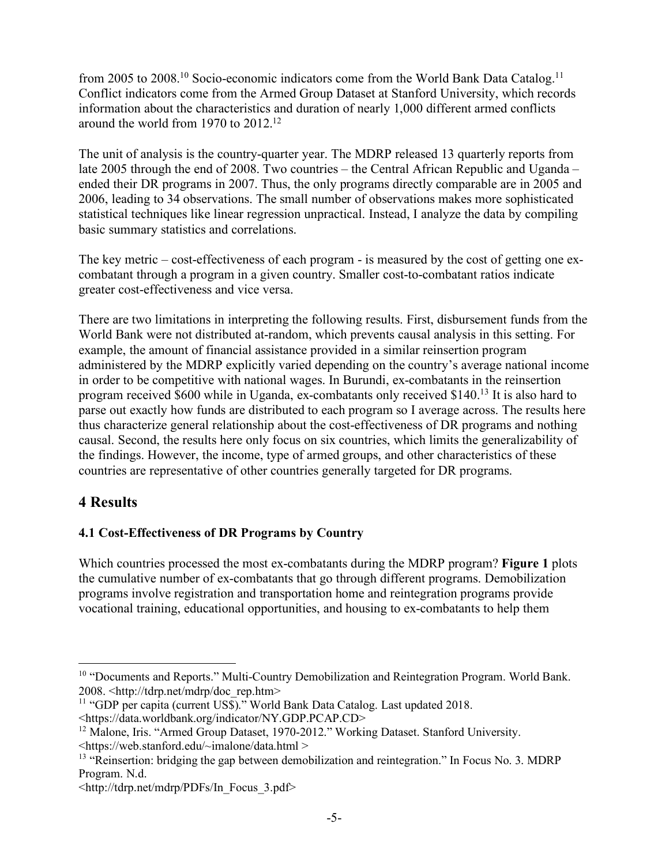from 2005 to 2008.<sup>10</sup> Socio-economic indicators come from the World Bank Data Catalog.<sup>11</sup> Conflict indicators come from the Armed Group Dataset at Stanford University, which records information about the characteristics and duration of nearly 1,000 different armed conflicts around the world from 1970 to 2012. 12

The unit of analysis is the country-quarter year. The MDRP released 13 quarterly reports from late 2005 through the end of 2008. Two countries – the Central African Republic and Uganda – ended their DR programs in 2007. Thus, the only programs directly comparable are in 2005 and 2006, leading to 34 observations. The small number of observations makes more sophisticated statistical techniques like linear regression unpractical. Instead, I analyze the data by compiling basic summary statistics and correlations.

The key metric – cost-effectiveness of each program - is measured by the cost of getting one excombatant through a program in a given country. Smaller cost-to-combatant ratios indicate greater cost-effectiveness and vice versa.

There are two limitations in interpreting the following results. First, disbursement funds from the World Bank were not distributed at-random, which prevents causal analysis in this setting. For example, the amount of financial assistance provided in a similar reinsertion program administered by the MDRP explicitly varied depending on the country's average national income in order to be competitive with national wages. In Burundi, ex-combatants in the reinsertion program received \$600 while in Uganda, ex-combatants only received \$140.13 It is also hard to parse out exactly how funds are distributed to each program so I average across. The results here thus characterize general relationship about the cost-effectiveness of DR programs and nothing causal. Second, the results here only focus on six countries, which limits the generalizability of the findings. However, the income, type of armed groups, and other characteristics of these countries are representative of other countries generally targeted for DR programs.

#### **4 Results**

#### **4.1 Cost-Effectiveness of DR Programs by Country**

Which countries processed the most ex-combatants during the MDRP program? **Figure 1** plots the cumulative number of ex-combatants that go through different programs. Demobilization programs involve registration and transportation home and reintegration programs provide vocational training, educational opportunities, and housing to ex-combatants to help them

 $\overline{a}$ <sup>10</sup> "Documents and Reports." Multi-Country Demobilization and Reintegration Program. World Bank. 2008. <http://tdrp.net/mdrp/doc\_rep.htm>

<sup>&</sup>lt;sup>11</sup> "GDP per capita (current US\$)." World Bank Data Catalog. Last updated 2018. <https://data.worldbank.org/indicator/NY.GDP.PCAP.CD>

<sup>&</sup>lt;sup>12</sup> Malone, Iris. "Armed Group Dataset, 1970-2012." Working Dataset. Stanford University. <https://web.stanford.edu/~imalone/data.html >

<sup>&</sup>lt;sup>13</sup> "Reinsertion: bridging the gap between demobilization and reintegration." In Focus No. 3. MDRP Program. N.d.

<sup>&</sup>lt;http://tdrp.net/mdrp/PDFs/In\_Focus\_3.pdf>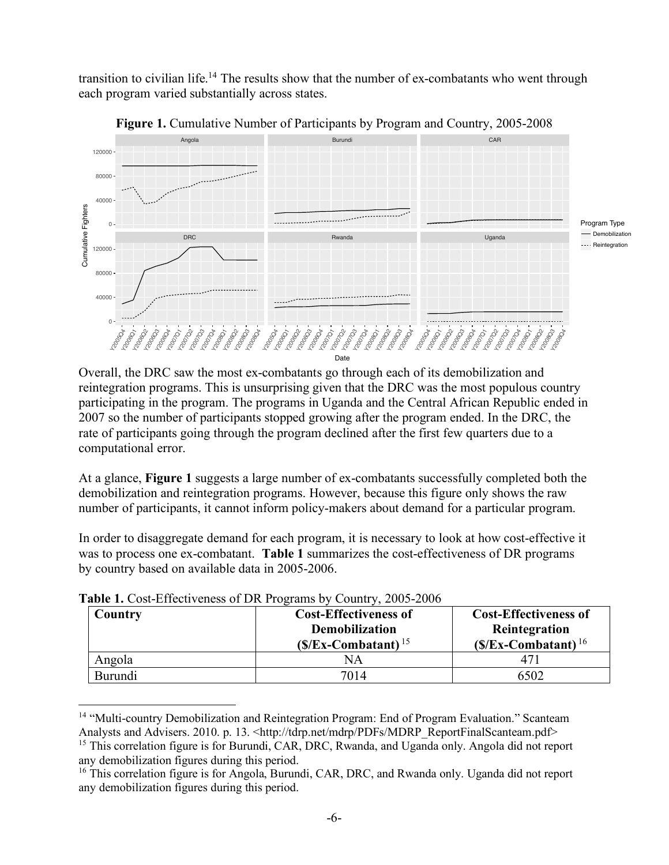transition to civilian life.<sup>14</sup> The results show that the number of ex-combatants who went through each program varied substantially across states.



**Figure 1.** Cumulative Number of Participants by Program and Country, 2005-2008

Overall, the DRC saw the most ex-combatants go through each of its demobilization and reintegration programs. This is unsurprising given that the DRC was the most populous country participating in the program. The programs in Uganda and the Central African Republic ended in 2007 so the number of participants stopped growing after the program ended. In the DRC, the rate of participants going through the program declined after the first few quarters due to a computational error.

At a glance, **Figure 1** suggests a large number of ex-combatants successfully completed both the demobilization and reintegration programs. However, because this figure only shows the raw number of participants, it cannot inform policy-makers about demand for a particular program.

In order to disaggregate demand for each program, it is necessary to look at how cost-effective it was to process one ex-combatant. **Table 1** summarizes the cost-effectiveness of DR programs by country based on available data in 2005-2006.

| Country | <b>Cost-Effectiveness of</b><br><b>Demobilization</b><br>$(S/Ex-Combatant)^{15}$ | <b>Cost-Effectiveness of</b><br>Reintegration<br>$(S/Ex-Combatant)16$ |
|---------|----------------------------------------------------------------------------------|-----------------------------------------------------------------------|
| Angola  | NА                                                                               |                                                                       |
| Burundi | 7014                                                                             | 6502                                                                  |

**Table 1.** Cost-Effectiveness of DR Programs by Country, 2005-2006

 $\overline{a}$ <sup>14</sup> "Multi-country Demobilization and Reintegration Program: End of Program Evaluation." Scanteam Analysts and Advisers. 2010. p. 13. < http://tdrp.net/mdrp/PDFs/MDRP\_ReportFinalScanteam.pdf>

<sup>&</sup>lt;sup>15</sup> This correlation figure is for Burundi, CAR, DRC, Rwanda, and Uganda only. Angola did not report any demobilization figures during this period.

<sup>&</sup>lt;sup>16</sup> This correlation figure is for Angola, Burundi, CAR, DRC, and Rwanda only. Uganda did not report any demobilization figures during this period.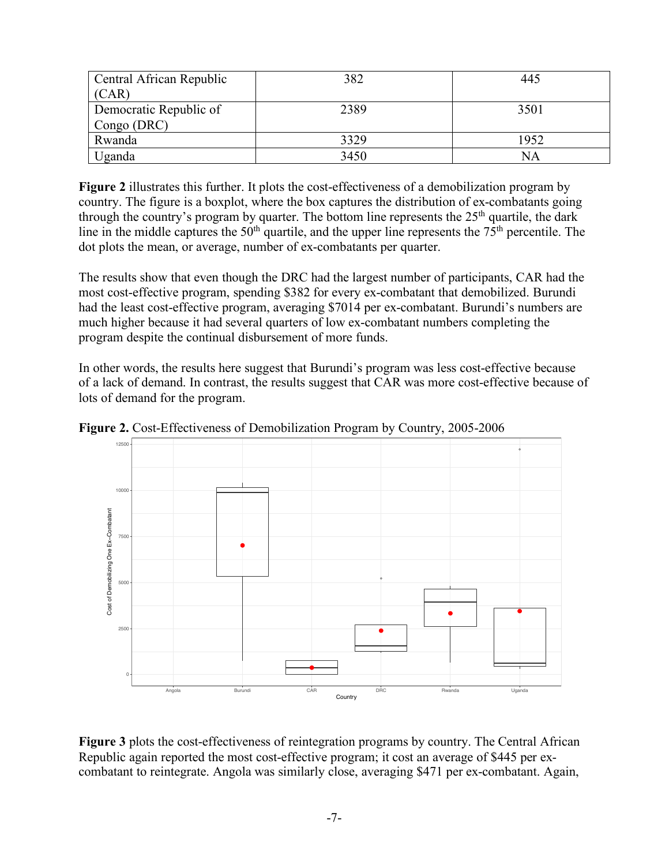| Central African Republic | 382  | 445  |
|--------------------------|------|------|
| (CAR)                    |      |      |
| Democratic Republic of   | 2389 | 3501 |
| Congo (DRC)              |      |      |
| Rwanda                   | 3329 | 1952 |
| Jganda                   | 3450 | ΝA   |

**Figure 2** illustrates this further. It plots the cost-effectiveness of a demobilization program by country. The figure is a boxplot, where the box captures the distribution of ex-combatants going through the country's program by quarter. The bottom line represents the  $25<sup>th</sup>$  quartile, the dark line in the middle captures the  $50<sup>th</sup>$  quartile, and the upper line represents the  $75<sup>th</sup>$  percentile. The dot plots the mean, or average, number of ex-combatants per quarter.

The results show that even though the DRC had the largest number of participants, CAR had the most cost-effective program, spending \$382 for every ex-combatant that demobilized. Burundi had the least cost-effective program, averaging \$7014 per ex-combatant. Burundi's numbers are much higher because it had several quarters of low ex-combatant numbers completing the program despite the continual disbursement of more funds.

In other words, the results here suggest that Burundi's program was less cost-effective because of a lack of demand. In contrast, the results suggest that CAR was more cost-effective because of lots of demand for the program.



**Figure 2.** Cost-Effectiveness of Demobilization Program by Country, 2005-2006

**Figure 3** plots the cost-effectiveness of reintegration programs by country. The Central African Republic again reported the most cost-effective program; it cost an average of \$445 per excombatant to reintegrate. Angola was similarly close, averaging \$471 per ex-combatant. Again,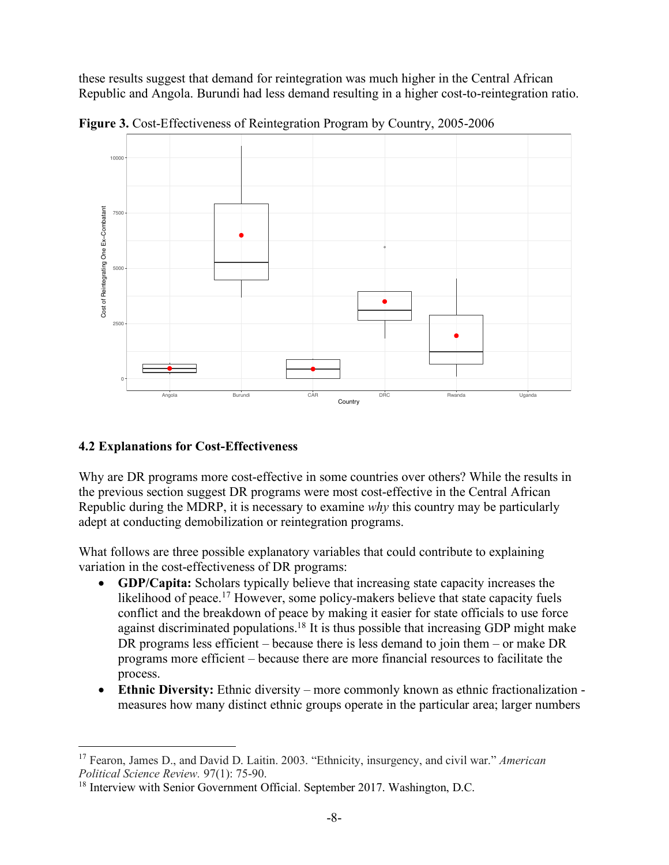these results suggest that demand for reintegration was much higher in the Central African Republic and Angola. Burundi had less demand resulting in a higher cost-to-reintegration ratio.



**Figure 3.** Cost-Effectiveness of Reintegration Program by Country, 2005-2006

#### **4.2 Explanations for Cost-Effectiveness**

 $\overline{a}$ 

Why are DR programs more cost-effective in some countries over others? While the results in the previous section suggest DR programs were most cost-effective in the Central African Republic during the MDRP, it is necessary to examine *why* this country may be particularly adept at conducting demobilization or reintegration programs.

What follows are three possible explanatory variables that could contribute to explaining variation in the cost-effectiveness of DR programs:

- **GDP/Capita:** Scholars typically believe that increasing state capacity increases the likelihood of peace.<sup>17</sup> However, some policy-makers believe that state capacity fuels conflict and the breakdown of peace by making it easier for state officials to use force against discriminated populations.18 It is thus possible that increasing GDP might make DR programs less efficient – because there is less demand to join them – or make DR programs more efficient – because there are more financial resources to facilitate the process.
- **Ethnic Diversity:** Ethnic diversity more commonly known as ethnic fractionalization measures how many distinct ethnic groups operate in the particular area; larger numbers

<sup>17</sup> Fearon, James D., and David D. Laitin. 2003. "Ethnicity, insurgency, and civil war." *American Political Science Review.* 97(1): 75-90.

<sup>&</sup>lt;sup>18</sup> Interview with Senior Government Official. September 2017. Washington, D.C.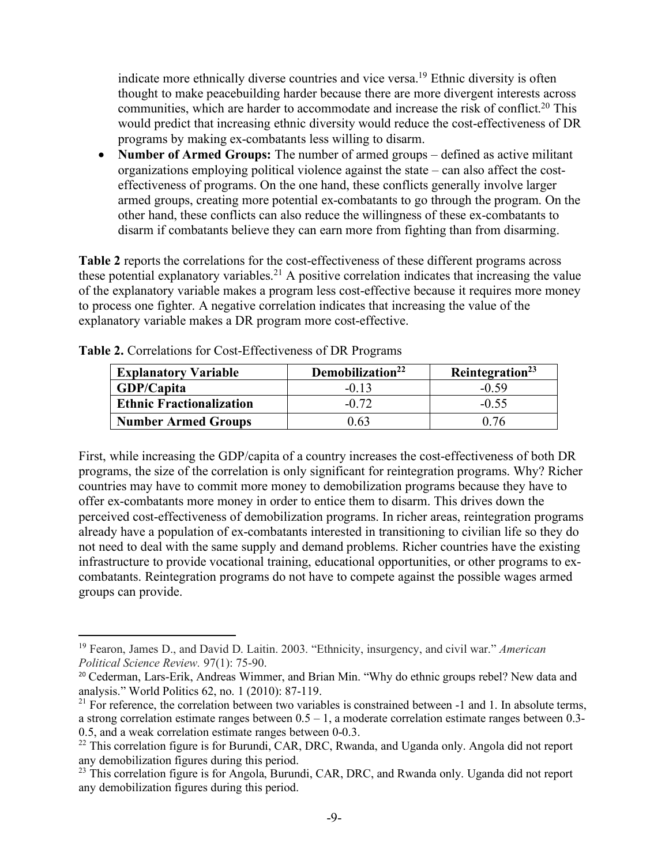indicate more ethnically diverse countries and vice versa.<sup>19</sup> Ethnic diversity is often thought to make peacebuilding harder because there are more divergent interests across communities, which are harder to accommodate and increase the risk of conflict.<sup>20</sup> This would predict that increasing ethnic diversity would reduce the cost-effectiveness of DR programs by making ex-combatants less willing to disarm.

• **Number of Armed Groups:** The number of armed groups – defined as active militant organizations employing political violence against the state – can also affect the costeffectiveness of programs. On the one hand, these conflicts generally involve larger armed groups, creating more potential ex-combatants to go through the program. On the other hand, these conflicts can also reduce the willingness of these ex-combatants to disarm if combatants believe they can earn more from fighting than from disarming.

**Table 2** reports the correlations for the cost-effectiveness of these different programs across these potential explanatory variables.<sup>21</sup> A positive correlation indicates that increasing the value of the explanatory variable makes a program less cost-effective because it requires more money to process one fighter. A negative correlation indicates that increasing the value of the explanatory variable makes a DR program more cost-effective.

| <b>Explanatory Variable</b>     | Demobilization <sup>22</sup> | Reintegration <sup>23</sup> |
|---------------------------------|------------------------------|-----------------------------|
| <b>GDP/Capita</b>               | $-0.13$                      | $-0.59$                     |
| <b>Ethnic Fractionalization</b> | $-0.72$                      | $-0.55$                     |
| <b>Number Armed Groups</b>      | 0.63                         | 0.76                        |

**Table 2.** Correlations for Cost-Effectiveness of DR Programs

 $\overline{a}$ 

First, while increasing the GDP/capita of a country increases the cost-effectiveness of both DR programs, the size of the correlation is only significant for reintegration programs. Why? Richer countries may have to commit more money to demobilization programs because they have to offer ex-combatants more money in order to entice them to disarm. This drives down the perceived cost-effectiveness of demobilization programs. In richer areas, reintegration programs already have a population of ex-combatants interested in transitioning to civilian life so they do not need to deal with the same supply and demand problems. Richer countries have the existing infrastructure to provide vocational training, educational opportunities, or other programs to excombatants. Reintegration programs do not have to compete against the possible wages armed groups can provide.

<sup>19</sup> Fearon, James D., and David D. Laitin. 2003. "Ethnicity, insurgency, and civil war." *American Political Science Review.* 97(1): 75-90.

<sup>&</sup>lt;sup>20</sup> Cederman, Lars-Erik, Andreas Wimmer, and Brian Min. "Why do ethnic groups rebel? New data and analysis." World Politics 62, no. 1 (2010): 87-119.

 $21$  For reference, the correlation between two variables is constrained between  $-1$  and 1. In absolute terms, a strong correlation estimate ranges between  $0.5 - 1$ , a moderate correlation estimate ranges between 0.3-0.5, and a weak correlation estimate ranges between 0-0.3.

<sup>&</sup>lt;sup>22</sup> This correlation figure is for Burundi, CAR, DRC, Rwanda, and Uganda only. Angola did not report any demobilization figures during this period.

<sup>&</sup>lt;sup>23</sup> This correlation figure is for Angola, Burundi, CAR, DRC, and Rwanda only. Uganda did not report any demobilization figures during this period.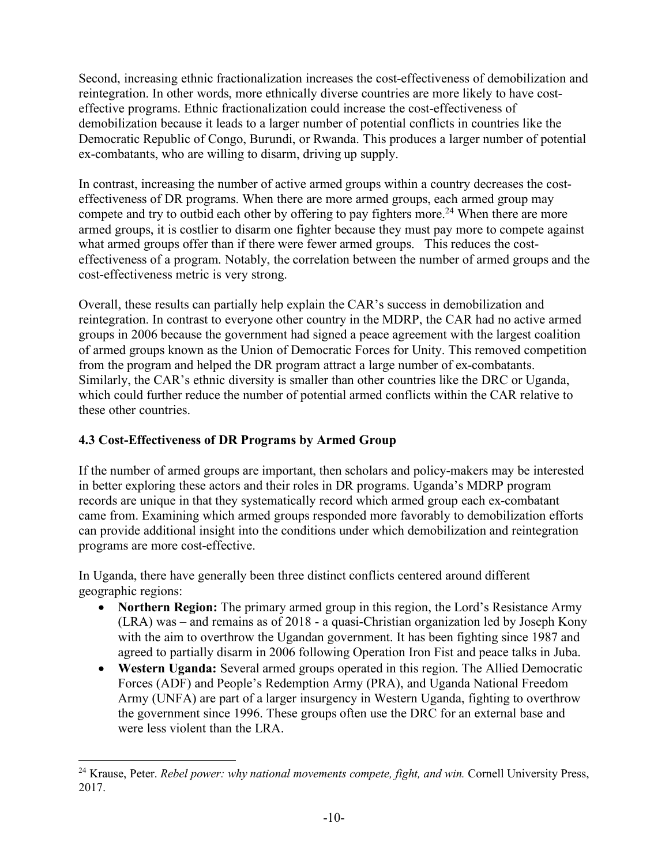Second, increasing ethnic fractionalization increases the cost-effectiveness of demobilization and reintegration. In other words, more ethnically diverse countries are more likely to have costeffective programs. Ethnic fractionalization could increase the cost-effectiveness of demobilization because it leads to a larger number of potential conflicts in countries like the Democratic Republic of Congo, Burundi, or Rwanda. This produces a larger number of potential ex-combatants, who are willing to disarm, driving up supply.

In contrast, increasing the number of active armed groups within a country decreases the costeffectiveness of DR programs. When there are more armed groups, each armed group may compete and try to outbid each other by offering to pay fighters more.<sup>24</sup> When there are more armed groups, it is costlier to disarm one fighter because they must pay more to compete against what armed groups offer than if there were fewer armed groups. This reduces the costeffectiveness of a program. Notably, the correlation between the number of armed groups and the cost-effectiveness metric is very strong.

Overall, these results can partially help explain the CAR's success in demobilization and reintegration. In contrast to everyone other country in the MDRP, the CAR had no active armed groups in 2006 because the government had signed a peace agreement with the largest coalition of armed groups known as the Union of Democratic Forces for Unity. This removed competition from the program and helped the DR program attract a large number of ex-combatants. Similarly, the CAR's ethnic diversity is smaller than other countries like the DRC or Uganda, which could further reduce the number of potential armed conflicts within the CAR relative to these other countries.

#### **4.3 Cost-Effectiveness of DR Programs by Armed Group**

If the number of armed groups are important, then scholars and policy-makers may be interested in better exploring these actors and their roles in DR programs. Uganda's MDRP program records are unique in that they systematically record which armed group each ex-combatant came from. Examining which armed groups responded more favorably to demobilization efforts can provide additional insight into the conditions under which demobilization and reintegration programs are more cost-effective.

In Uganda, there have generally been three distinct conflicts centered around different geographic regions:

- **Northern Region:** The primary armed group in this region, the Lord's Resistance Army (LRA) was – and remains as of 2018 - a quasi-Christian organization led by Joseph Kony with the aim to overthrow the Ugandan government. It has been fighting since 1987 and agreed to partially disarm in 2006 following Operation Iron Fist and peace talks in Juba.
- **Western Uganda:** Several armed groups operated in this region. The Allied Democratic Forces (ADF) and People's Redemption Army (PRA), and Uganda National Freedom Army (UNFA) are part of a larger insurgency in Western Uganda, fighting to overthrow the government since 1996. These groups often use the DRC for an external base and were less violent than the LRA.

 $\overline{a}$ <sup>24</sup> Krause, Peter. *Rebel power: why national movements compete, fight, and win.* Cornell University Press, 2017.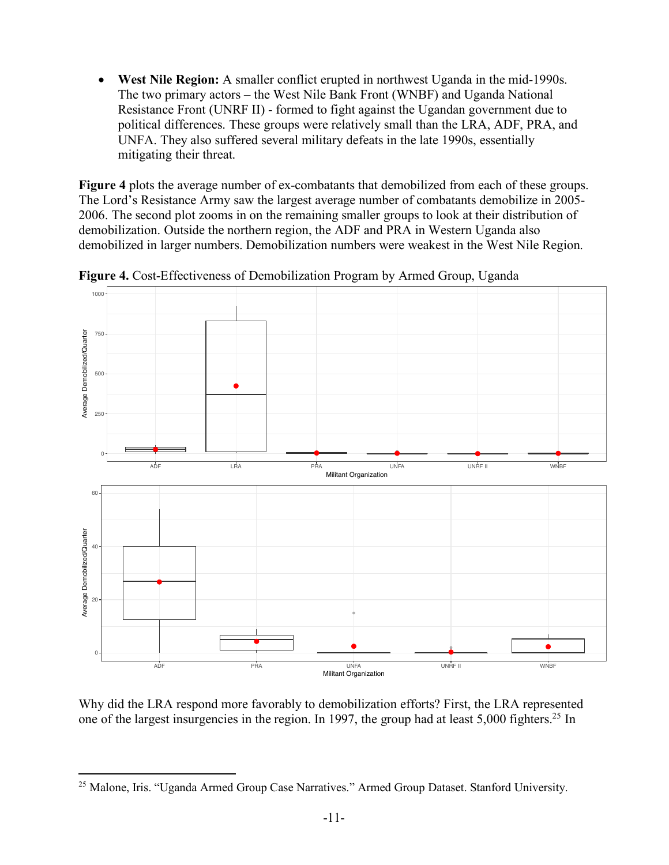• **West Nile Region:** A smaller conflict erupted in northwest Uganda in the mid-1990s. The two primary actors – the West Nile Bank Front (WNBF) and Uganda National Resistance Front (UNRF II) - formed to fight against the Ugandan government due to political differences. These groups were relatively small than the LRA, ADF, PRA, and UNFA. They also suffered several military defeats in the late 1990s, essentially mitigating their threat.

**Figure 4** plots the average number of ex-combatants that demobilized from each of these groups. The Lord's Resistance Army saw the largest average number of combatants demobilize in 2005- 2006. The second plot zooms in on the remaining smaller groups to look at their distribution of demobilization. Outside the northern region, the ADF and PRA in Western Uganda also demobilized in larger numbers. Demobilization numbers were weakest in the West Nile Region.



**Figure 4.** Cost-Effectiveness of Demobilization Program by Armed Group, Uganda

Why did the LRA respond more favorably to demobilization efforts? First, the LRA represented one of the largest insurgencies in the region. In 1997, the group had at least 5,000 fighters.<sup>25</sup> In

 $\overline{a}$ 

<sup>&</sup>lt;sup>25</sup> Malone, Iris. "Uganda Armed Group Case Narratives." Armed Group Dataset. Stanford University.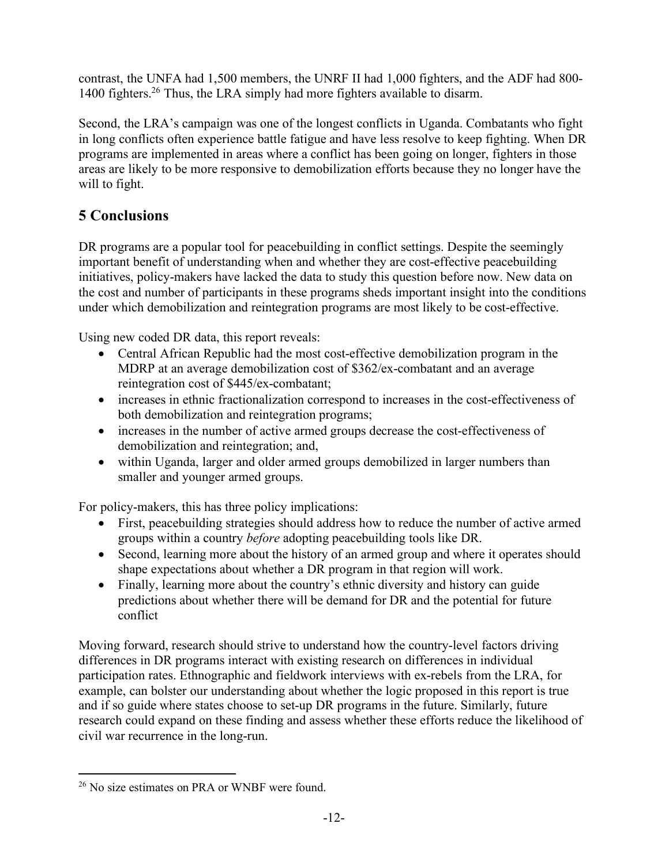contrast, the UNFA had 1,500 members, the UNRF II had 1,000 fighters, and the ADF had 800- 1400 fighters.26 Thus, the LRA simply had more fighters available to disarm.

Second, the LRA's campaign was one of the longest conflicts in Uganda. Combatants who fight in long conflicts often experience battle fatigue and have less resolve to keep fighting. When DR programs are implemented in areas where a conflict has been going on longer, fighters in those areas are likely to be more responsive to demobilization efforts because they no longer have the will to fight.

## **5 Conclusions**

DR programs are a popular tool for peacebuilding in conflict settings. Despite the seemingly important benefit of understanding when and whether they are cost-effective peacebuilding initiatives, policy-makers have lacked the data to study this question before now. New data on the cost and number of participants in these programs sheds important insight into the conditions under which demobilization and reintegration programs are most likely to be cost-effective.

Using new coded DR data, this report reveals:

- Central African Republic had the most cost-effective demobilization program in the MDRP at an average demobilization cost of \$362/ex-combatant and an average reintegration cost of \$445/ex-combatant;
- increases in ethnic fractionalization correspond to increases in the cost-effectiveness of both demobilization and reintegration programs;
- increases in the number of active armed groups decrease the cost-effectiveness of demobilization and reintegration; and,
- within Uganda, larger and older armed groups demobilized in larger numbers than smaller and younger armed groups.

For policy-makers, this has three policy implications:

- First, peacebuilding strategies should address how to reduce the number of active armed groups within a country *before* adopting peacebuilding tools like DR.
- Second, learning more about the history of an armed group and where it operates should shape expectations about whether a DR program in that region will work.
- Finally, learning more about the country's ethnic diversity and history can guide predictions about whether there will be demand for DR and the potential for future conflict

Moving forward, research should strive to understand how the country-level factors driving differences in DR programs interact with existing research on differences in individual participation rates. Ethnographic and fieldwork interviews with ex-rebels from the LRA, for example, can bolster our understanding about whether the logic proposed in this report is true and if so guide where states choose to set-up DR programs in the future. Similarly, future research could expand on these finding and assess whether these efforts reduce the likelihood of civil war recurrence in the long-run.

 $\overline{a}$ <sup>26</sup> No size estimates on PRA or WNBF were found.